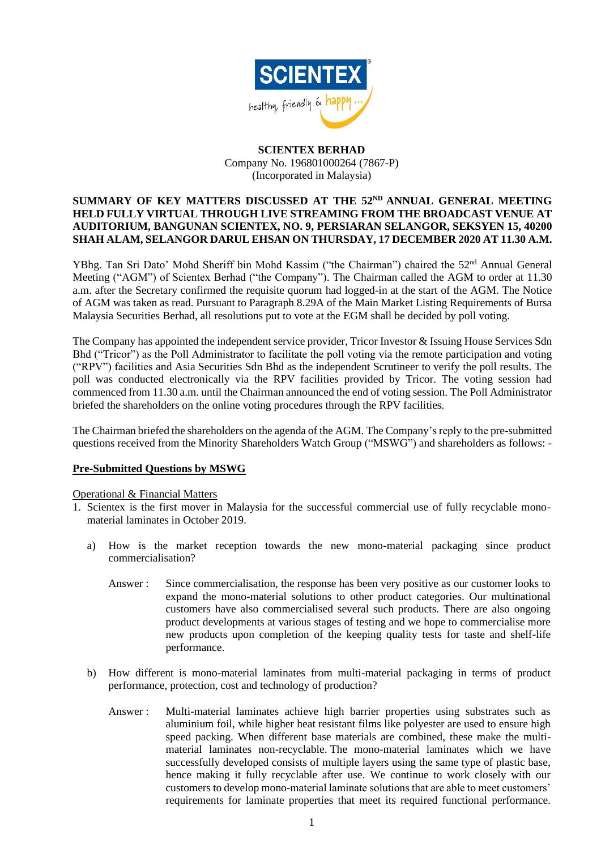

# **SCIENTEX BERHAD** Company No. 196801000264 (7867-P) (Incorporated in Malaysia)

## SUMMARY OF KEY MATTERS DISCUSSED AT THE 52<sup>ND</sup> ANNUAL GENERAL MEETING **HELD FULLY VIRTUAL THROUGH LIVE STREAMING FROM THE BROADCAST VENUE AT AUDITORIUM, BANGUNAN SCIENTEX, NO. 9, PERSIARAN SELANGOR, SEKSYEN 15, 40200 SHAH ALAM, SELANGOR DARUL EHSAN ON THURSDAY, 17 DECEMBER 2020 AT 11.30 A.M.**

YBhg. Tan Sri Dato' Mohd Sheriff bin Mohd Kassim ("the Chairman") chaired the 52<sup>nd</sup> Annual General Meeting ("AGM") of Scientex Berhad ("the Company"). The Chairman called the AGM to order at 11.30 a.m. after the Secretary confirmed the requisite quorum had logged-in at the start of the AGM. The Notice of AGM was taken as read. Pursuant to Paragraph 8.29A of the Main Market Listing Requirements of Bursa Malaysia Securities Berhad, all resolutions put to vote at the EGM shall be decided by poll voting.

The Company has appointed the independent service provider, Tricor Investor & Issuing House Services Sdn Bhd ("Tricor") as the Poll Administrator to facilitate the poll voting via the remote participation and voting ("RPV") facilities and Asia Securities Sdn Bhd as the independent Scrutineer to verify the poll results. The poll was conducted electronically via the RPV facilities provided by Tricor. The voting session had commenced from 11.30 a.m. until the Chairman announced the end of voting session. The Poll Administrator briefed the shareholders on the online voting procedures through the RPV facilities.

The Chairman briefed the shareholders on the agenda of the AGM. The Company's reply to the pre-submitted questions received from the Minority Shareholders Watch Group ("MSWG") and shareholders as follows: -

### **Pre-Submitted Questions by MSWG**

### Operational & Financial Matters

- 1. Scientex is the first mover in Malaysia for the successful commercial use of fully recyclable monomaterial laminates in October 2019.
	- a) How is the market reception towards the new mono-material packaging since product commercialisation?
		- Answer : Since commercialisation, the response has been very positive as our customer looks to expand the mono-material solutions to other product categories. Our multinational customers have also commercialised several such products. There are also ongoing product developments at various stages of testing and we hope to commercialise more new products upon completion of the keeping quality tests for taste and shelf-life performance.
	- b) How different is mono-material laminates from multi-material packaging in terms of product performance, protection, cost and technology of production?
		- Answer : Multi-material laminates achieve high barrier properties using substrates such as aluminium foil, while higher heat resistant films like polyester are used to ensure high speed packing. When different base materials are combined, these make the multimaterial laminates non-recyclable. The mono-material laminates which we have successfully developed consists of multiple layers using the same type of plastic base, hence making it fully recyclable after use. We continue to work closely with our customers to develop mono-material laminate solutions that are able to meet customers' requirements for laminate properties that meet its required functional performance.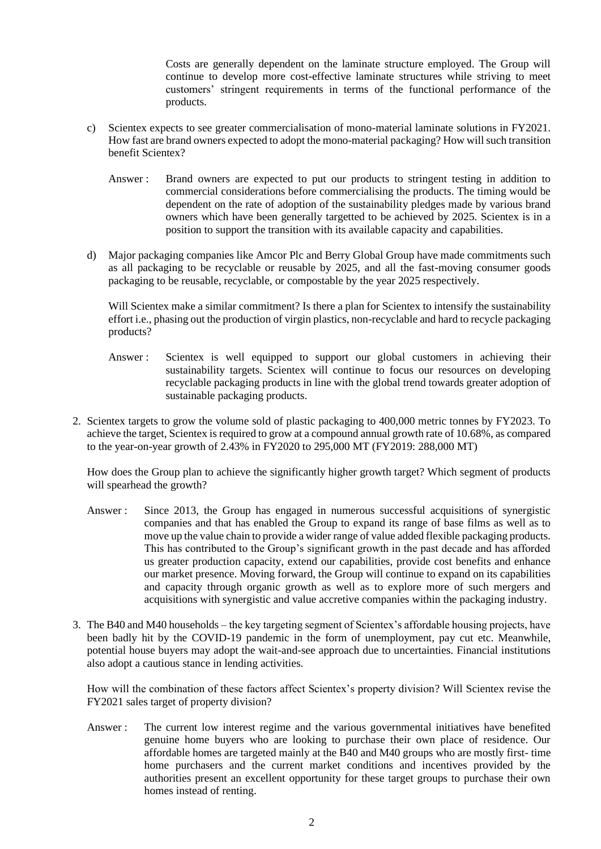Costs are generally dependent on the laminate structure employed. The Group will continue to develop more cost-effective laminate structures while striving to meet customers' stringent requirements in terms of the functional performance of the products.

- c) Scientex expects to see greater commercialisation of mono-material laminate solutions in FY2021. How fast are brand owners expected to adopt the mono-material packaging? How will such transition benefit Scientex?
	- Answer : Brand owners are expected to put our products to stringent testing in addition to commercial considerations before commercialising the products. The timing would be dependent on the rate of adoption of the sustainability pledges made by various brand owners which have been generally targetted to be achieved by 2025. Scientex is in a position to support the transition with its available capacity and capabilities.
- d) Major packaging companies like Amcor Plc and Berry Global Group have made commitments such as all packaging to be recyclable or reusable by 2025, and all the fast-moving consumer goods packaging to be reusable, recyclable, or compostable by the year 2025 respectively.

Will Scientex make a similar commitment? Is there a plan for Scientex to intensify the sustainability effort i.e., phasing out the production of virgin plastics, non-recyclable and hard to recycle packaging products?

- Answer : Scientex is well equipped to support our global customers in achieving their sustainability targets. Scientex will continue to focus our resources on developing recyclable packaging products in line with the global trend towards greater adoption of sustainable packaging products.
- 2. Scientex targets to grow the volume sold of plastic packaging to 400,000 metric tonnes by FY2023. To achieve the target, Scientex is required to grow at a compound annual growth rate of 10.68%, as compared to the year-on-year growth of 2.43% in FY2020 to 295,000 MT (FY2019: 288,000 MT)

How does the Group plan to achieve the significantly higher growth target? Which segment of products will spearhead the growth?

- Answer : Since 2013, the Group has engaged in numerous successful acquisitions of synergistic companies and that has enabled the Group to expand its range of base films as well as to move up the value chain to provide a wider range of value added flexible packaging products. This has contributed to the Group's significant growth in the past decade and has afforded us greater production capacity, extend our capabilities, provide cost benefits and enhance our market presence. Moving forward, the Group will continue to expand on its capabilities and capacity through organic growth as well as to explore more of such mergers and acquisitions with synergistic and value accretive companies within the packaging industry.
- 3. The B40 and M40 households the key targeting segment of Scientex's affordable housing projects, have been badly hit by the COVID-19 pandemic in the form of unemployment, pay cut etc. Meanwhile, potential house buyers may adopt the wait-and-see approach due to uncertainties. Financial institutions also adopt a cautious stance in lending activities.

How will the combination of these factors affect Scientex's property division? Will Scientex revise the FY2021 sales target of property division?

Answer : The current low interest regime and the various governmental initiatives have benefited genuine home buyers who are looking to purchase their own place of residence. Our affordable homes are targeted mainly at the B40 and M40 groups who are mostly first- time home purchasers and the current market conditions and incentives provided by the authorities present an excellent opportunity for these target groups to purchase their own homes instead of renting.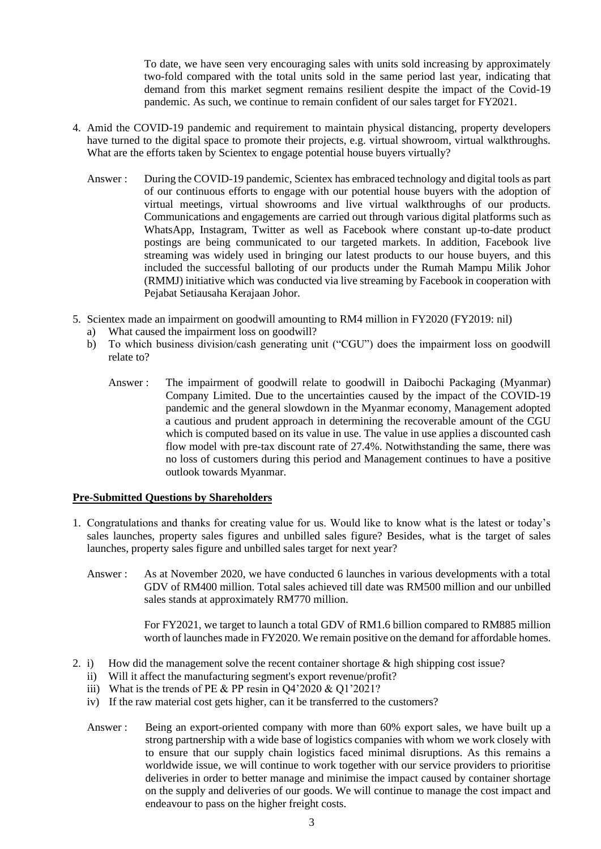To date, we have seen very encouraging sales with units sold increasing by approximately two-fold compared with the total units sold in the same period last year, indicating that demand from this market segment remains resilient despite the impact of the Covid-19 pandemic. As such, we continue to remain confident of our sales target for FY2021.

- 4. Amid the COVID-19 pandemic and requirement to maintain physical distancing, property developers have turned to the digital space to promote their projects, e.g. virtual showroom, virtual walkthroughs. What are the efforts taken by Scientex to engage potential house buyers virtually?
	- Answer : During the COVID-19 pandemic, Scientex has embraced technology and digital tools as part of our continuous efforts to engage with our potential house buyers with the adoption of virtual meetings, virtual showrooms and live virtual walkthroughs of our products. Communications and engagements are carried out through various digital platforms such as WhatsApp, Instagram, Twitter as well as Facebook where constant up-to-date product postings are being communicated to our targeted markets. In addition, Facebook live streaming was widely used in bringing our latest products to our house buyers, and this included the successful balloting of our products under the Rumah Mampu Milik Johor (RMMJ) initiative which was conducted via live streaming by Facebook in cooperation with Pejabat Setiausaha Kerajaan Johor.
- 5. Scientex made an impairment on goodwill amounting to RM4 million in FY2020 (FY2019: nil)
	- a) What caused the impairment loss on goodwill?<br>b) To which business division/cash generating up
	- b) To which business division/cash generating unit ("CGU") does the impairment loss on goodwill relate to?
		- Answer : The impairment of goodwill relate to goodwill in Daibochi Packaging (Myanmar) Company Limited. Due to the uncertainties caused by the impact of the COVID-19 pandemic and the general slowdown in the Myanmar economy, Management adopted a cautious and prudent approach in determining the recoverable amount of the CGU which is computed based on its value in use. The value in use applies a discounted cash flow model with pre-tax discount rate of 27.4%. Notwithstanding the same, there was no loss of customers during this period and Management continues to have a positive outlook towards Myanmar.

### **Pre-Submitted Questions by Shareholders**

- 1. Congratulations and thanks for creating value for us. Would like to know what is the latest or today's sales launches, property sales figures and unbilled sales figure? Besides, what is the target of sales launches, property sales figure and unbilled sales target for next year?
	- Answer : As at November 2020, we have conducted 6 launches in various developments with a total GDV of RM400 million. Total sales achieved till date was RM500 million and our unbilled sales stands at approximately RM770 million.

For FY2021, we target to launch a total GDV of RM1.6 billion compared to RM885 million worth of launches made in FY2020. We remain positive on the demand for affordable homes.

- 2. i) How did the management solve the recent container shortage & high shipping cost issue?
	- ii) Will it affect the manufacturing segment's export revenue/profit?
	- iii) What is the trends of PE & PP resin in  $Q4'2020 \& Q1'2021?$
	- iv) If the raw material cost gets higher, can it be transferred to the customers?
	- Answer : Being an export-oriented company with more than 60% export sales, we have built up a strong partnership with a wide base of logistics companies with whom we work closely with to ensure that our supply chain logistics faced minimal disruptions. As this remains a worldwide issue, we will continue to work together with our service providers to prioritise deliveries in order to better manage and minimise the impact caused by container shortage on the supply and deliveries of our goods. We will continue to manage the cost impact and endeavour to pass on the higher freight costs.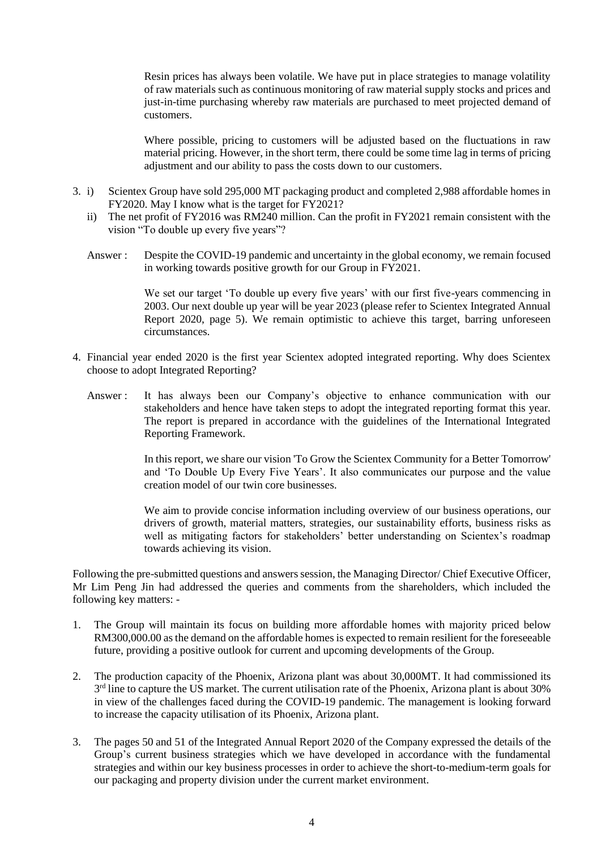Resin prices has always been volatile. We have put in place strategies to manage volatility of raw materials such as continuous monitoring of raw material supply stocks and prices and just-in-time purchasing whereby raw materials are purchased to meet projected demand of customers.

Where possible, pricing to customers will be adjusted based on the fluctuations in raw material pricing. However, in the short term, there could be some time lag in terms of pricing adjustment and our ability to pass the costs down to our customers.

- 3. i) Scientex Group have sold 295,000 MT packaging product and completed 2,988 affordable homes in FY2020. May I know what is the target for FY2021?
	- ii) The net profit of FY2016 was RM240 million. Can the profit in FY2021 remain consistent with the vision "To double up every five years"?
	- Answer : Despite the COVID-19 pandemic and uncertainty in the global economy, we remain focused in working towards positive growth for our Group in FY2021.

We set our target 'To double up every five years' with our first five-years commencing in 2003. Our next double up year will be year 2023 (please refer to Scientex Integrated Annual Report 2020, page 5). We remain optimistic to achieve this target, barring unforeseen circumstances.

- 4. Financial year ended 2020 is the first year Scientex adopted integrated reporting. Why does Scientex choose to adopt Integrated Reporting?
	- Answer : It has always been our Company's objective to enhance communication with our stakeholders and hence have taken steps to adopt the integrated reporting format this year. The report is prepared in accordance with the guidelines of the International Integrated Reporting Framework.

In this report, we share our vision 'To Grow the Scientex Community for a Better Tomorrow' and 'To Double Up Every Five Years'. It also communicates our purpose and the value creation model of our twin core businesses.

We aim to provide concise information including overview of our business operations, our drivers of growth, material matters, strategies, our sustainability efforts, business risks as well as mitigating factors for stakeholders' better understanding on Scientex's roadmap towards achieving its vision.

Following the pre-submitted questions and answers session, the Managing Director/ Chief Executive Officer, Mr Lim Peng Jin had addressed the queries and comments from the shareholders, which included the following key matters: -

- 1. The Group will maintain its focus on building more affordable homes with majority priced below RM300,000.00 as the demand on the affordable homes is expected to remain resilient for the foreseeable future, providing a positive outlook for current and upcoming developments of the Group.
- 2. The production capacity of the Phoenix, Arizona plant was about 30,000MT. It had commissioned its 3<sup>rd</sup> line to capture the US market. The current utilisation rate of the Phoenix, Arizona plant is about 30% in view of the challenges faced during the COVID-19 pandemic. The management is looking forward to increase the capacity utilisation of its Phoenix, Arizona plant.
- 3. The pages 50 and 51 of the Integrated Annual Report 2020 of the Company expressed the details of the Group's current business strategies which we have developed in accordance with the fundamental strategies and within our key business processes in order to achieve the short-to-medium-term goals for our packaging and property division under the current market environment.